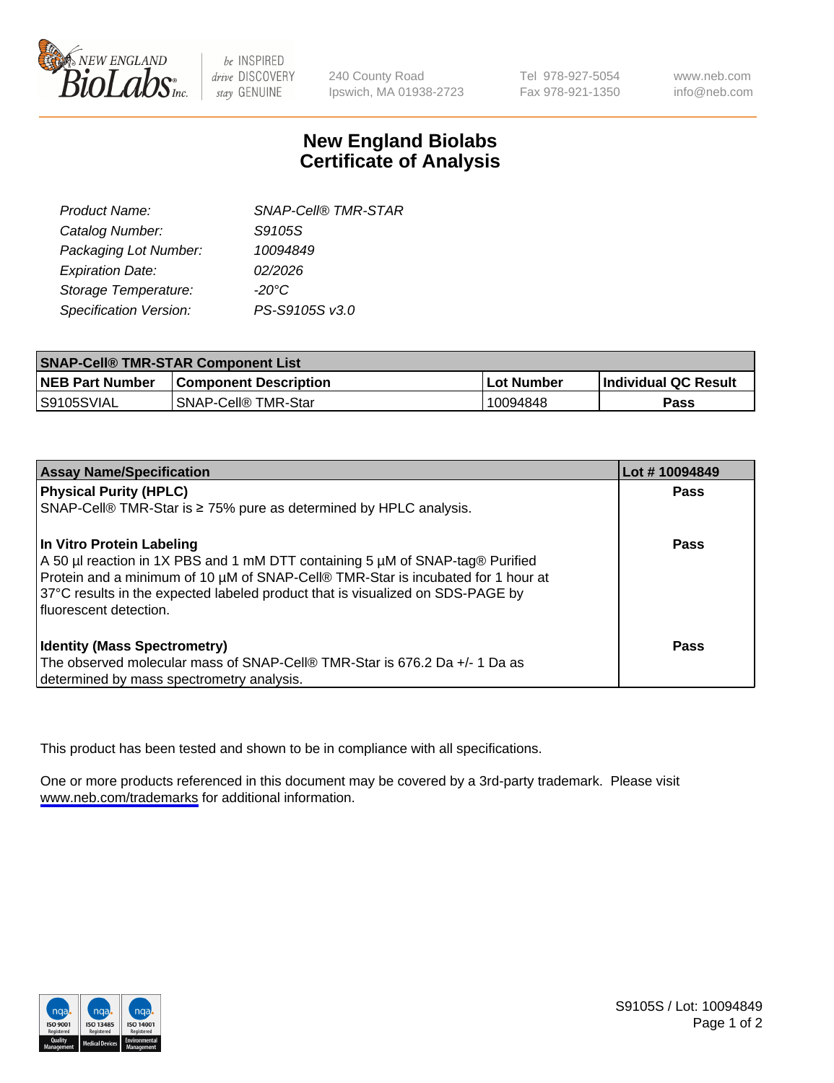

be INSPIRED drive DISCOVERY stay GENUINE

240 County Road Ipswich, MA 01938-2723 Tel 978-927-5054 Fax 978-921-1350

www.neb.com info@neb.com

## **New England Biolabs Certificate of Analysis**

| <b>SNAP-Cell® TMR-STAR</b> |
|----------------------------|
| S9105S                     |
| 10094849                   |
| 02/2026                    |
| $-20^{\circ}$ C            |
| PS-S9105S v3.0             |
|                            |

| <b>SNAP-Cell® TMR-STAR Component List</b> |                                       |            |                             |  |
|-------------------------------------------|---------------------------------------|------------|-----------------------------|--|
| <b>NEB Part Number</b>                    | <b>Component Description</b>          | Lot Number | <b>Individual QC Result</b> |  |
| S9105SVIAL                                | <b>SNAP-Cell<sup>®</sup> TMR-Star</b> | 10094848   | Pass                        |  |

| <b>Assay Name/Specification</b>                                                                                                                                                                                                                                                                                    | Lot #10094849 |
|--------------------------------------------------------------------------------------------------------------------------------------------------------------------------------------------------------------------------------------------------------------------------------------------------------------------|---------------|
| <b>Physical Purity (HPLC)</b>                                                                                                                                                                                                                                                                                      | <b>Pass</b>   |
| SNAP-Cell® TMR-Star is ≥ 75% pure as determined by HPLC analysis.                                                                                                                                                                                                                                                  |               |
| In Vitro Protein Labeling<br>$\vert$ A 50 µl reaction in 1X PBS and 1 mM DTT containing 5 µM of SNAP-tag® Purified<br>Protein and a minimum of 10 µM of SNAP-Cell® TMR-Star is incubated for 1 hour at<br>37°C results in the expected labeled product that is visualized on SDS-PAGE by<br>fluorescent detection. | <b>Pass</b>   |
| <b>Identity (Mass Spectrometry)</b>                                                                                                                                                                                                                                                                                | Pass          |
| The observed molecular mass of SNAP-Cell® TMR-Star is 676.2 Da +/- 1 Da as                                                                                                                                                                                                                                         |               |
| determined by mass spectrometry analysis.                                                                                                                                                                                                                                                                          |               |

This product has been tested and shown to be in compliance with all specifications.

One or more products referenced in this document may be covered by a 3rd-party trademark. Please visit <www.neb.com/trademarks>for additional information.